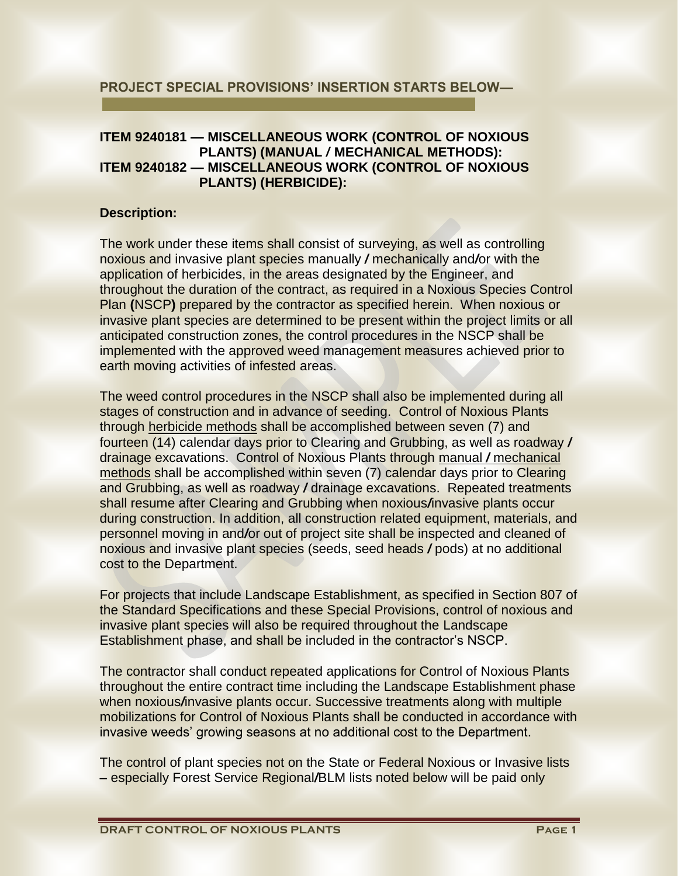## **PROJECT SPECIAL PROVISIONS' INSERTION STARTS BELOW—**

# **ITEM 9240181 — MISCELLANEOUS WORK (CONTROL OF NOXIOUS PLANTS) (MANUAL** */* **MECHANICAL METHODS): ITEM 9240182 — MISCELLANEOUS WORK (CONTROL OF NOXIOUS PLANTS) (HERBICIDE):**

## **Description:**

The work under these items shall consist of surveying, as well as controlling noxious and invasive plant species manually */* mechanically and*/*or with the application of herbicides, in the areas designated by the Engineer, and throughout the duration of the contract, as required in a Noxious Species Control Plan **(**NSCP**)** prepared by the contractor as specified herein. When noxious or invasive plant species are determined to be present within the project limits or all anticipated construction zones, the control procedures in the NSCP shall be implemented with the approved weed management measures achieved prior to earth moving activities of infested areas.

The weed control procedures in the NSCP shall also be implemented during all stages of construction and in advance of seeding. Control of Noxious Plants through herbicide methods shall be accomplished between seven (7) and fourteen (14) calendar days prior to Clearing and Grubbing, as well as roadway */* drainage excavations. Control of Noxious Plants through manual */* mechanical methods shall be accomplished within seven (7) calendar days prior to Clearing and Grubbing, as well as roadway */* drainage excavations. Repeated treatments shall resume after Clearing and Grubbing when noxious*/*invasive plants occur during construction. In addition, all construction related equipment, materials, and personnel moving in and*/*or out of project site shall be inspected and cleaned of noxious and invasive plant species (seeds, seed heads */* pods) at no additional cost to the Department.

For projects that include Landscape Establishment, as specified in Section 807 of the Standard Specifications and these Special Provisions, control of noxious and invasive plant species will also be required throughout the Landscape Establishment phase, and shall be included in the contractor's NSCP.

The contractor shall conduct repeated applications for Control of Noxious Plants throughout the entire contract time including the Landscape Establishment phase when noxious*/*invasive plants occur. Successive treatments along with multiple mobilizations for Control of Noxious Plants shall be conducted in accordance with invasive weeds' growing seasons at no additional cost to the Department.

The control of plant species not on the State or Federal Noxious or Invasive lists **–** especially Forest Service Regional*/*BLM lists noted below will be paid only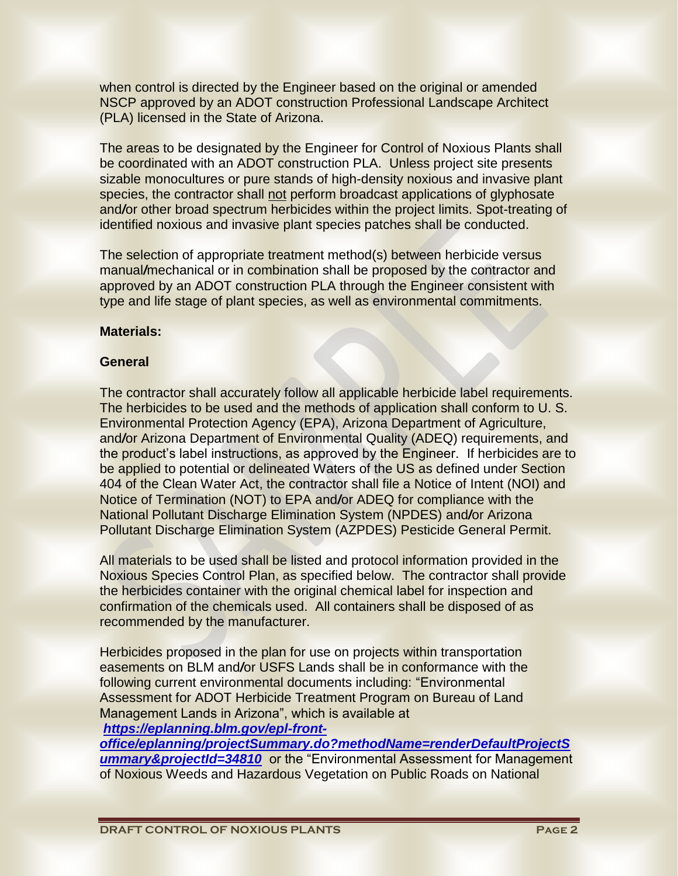when control is directed by the Engineer based on the original or amended NSCP approved by an ADOT construction Professional Landscape Architect (PLA) licensed in the State of Arizona.

The areas to be designated by the Engineer for Control of Noxious Plants shall be coordinated with an ADOT construction PLA. Unless project site presents sizable monocultures or pure stands of high-density noxious and invasive plant species, the contractor shall not perform broadcast applications of glyphosate and*/*or other broad spectrum herbicides within the project limits. Spot-treating of identified noxious and invasive plant species patches shall be conducted.

The selection of appropriate treatment method(s) between herbicide versus manual/mechanical or in combination shall be proposed by the contractor and approved by an ADOT construction PLA through the Engineer consistent with type and life stage of plant species, as well as environmental commitments.

#### **Materials:**

#### **General**

The contractor shall accurately follow all applicable herbicide label requirements. The herbicides to be used and the methods of application shall conform to U. S. Environmental Protection Agency (EPA), Arizona Department of Agriculture, and*/*or Arizona Department of Environmental Quality (ADEQ) requirements, and the product's label instructions, as approved by the Engineer. If herbicides are to be applied to potential or delineated Waters of the US as defined under Section 404 of the Clean Water Act, the contractor shall file a Notice of Intent (NOI) and Notice of Termination (NOT) to EPA and*/*or ADEQ for compliance with the National Pollutant Discharge Elimination System (NPDES) and*/*or Arizona Pollutant Discharge Elimination System (AZPDES) Pesticide General Permit.

All materials to be used shall be listed and protocol information provided in the Noxious Species Control Plan, as specified below. The contractor shall provide the herbicides container with the original chemical label for inspection and confirmation of the chemicals used. All containers shall be disposed of as recommended by the manufacturer.

Herbicides proposed in the plan for use on projects within transportation easements on BLM and*/*or USFS Lands shall be in conformance with the following current environmental documents including: "Environmental Assessment for ADOT Herbicide Treatment Program on Bureau of Land Management Lands in Arizona", which is available at

# *[https://eplanning.blm.gov/epl-front-](https://eplanning.blm.gov/epl-front-office/eplanning/projectSummary.do?methodName=renderDefaultProjectSummary&projectId=34810)*

*[office/eplanning/projectSummary.do?methodName=renderDefaultProjectS](https://eplanning.blm.gov/epl-front-office/eplanning/projectSummary.do?methodName=renderDefaultProjectSummary&projectId=34810)* **[ummary&projectId=34810](https://eplanning.blm.gov/epl-front-office/eplanning/projectSummary.do?methodName=renderDefaultProjectSummary&projectId=34810)** or the "Environmental Assessment for Management of Noxious Weeds and Hazardous Vegetation on Public Roads on National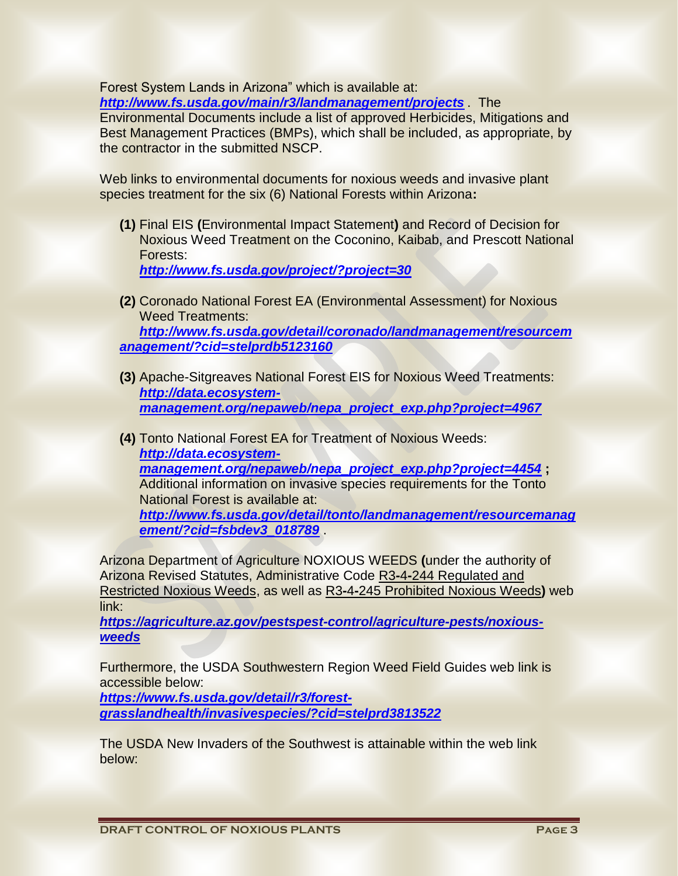Forest System Lands in Arizona" which is available at:

*<http://www.fs.usda.gov/main/r3/landmanagement/projects>* . The

Environmental Documents include a list of approved Herbicides, Mitigations and Best Management Practices (BMPs), which shall be included, as appropriate, by the contractor in the submitted NSCP.

Web links to environmental documents for noxious weeds and invasive plant species treatment for the six (6) National Forests within Arizona**:**

**(1)** Final EIS **(**Environmental Impact Statement**)** and Record of Decision for Noxious Weed Treatment on the Coconino, Kaibab, and Prescott National Forests:

*<http://www.fs.usda.gov/project/?project=30>*

- **(2)** Coronado National Forest EA (Environmental Assessment) for Noxious Weed Treatments: *[http://www.fs.usda.gov/detail/coronado/landmanagement/resourcem](http://www.fs.usda.gov/detail/coronado/landmanagement/resourcemanagement/?cid=stelprdb5123160) [anagement/?cid=stelprdb5123160](http://www.fs.usda.gov/detail/coronado/landmanagement/resourcemanagement/?cid=stelprdb5123160)*
- **(3)** Apache-Sitgreaves National Forest EIS for Noxious Weed Treatments: *[http://data.ecosystem](http://data.ecosystem-management.org/nepaweb/nepa_project_exp.php?project=4967)[management.org/nepaweb/nepa\\_project\\_exp.php?project=4967](http://data.ecosystem-management.org/nepaweb/nepa_project_exp.php?project=4967)*
- **(4)** Tonto National Forest EA for Treatment of Noxious Weeds: *[http://data.ecosystem](http://data.ecosystem-management.org/nepaweb/nepa_project_exp.php?project=4454)[management.org/nepaweb/nepa\\_project\\_exp.php?project=4454](http://data.ecosystem-management.org/nepaweb/nepa_project_exp.php?project=4454)* **;** Additional information on invasive species requirements for the Tonto National Forest is available at: *[http://www.fs.usda.gov/detail/tonto/landmanagement/resourcemanag](http://www.fs.usda.gov/detail/tonto/landmanagement/resourcemanagement/?cid=fsbdev3_018789) [ement/?cid=fsbdev3\\_018789](http://www.fs.usda.gov/detail/tonto/landmanagement/resourcemanagement/?cid=fsbdev3_018789)* .

Arizona Department of Agriculture NOXIOUS WEEDS **(**under the authority of Arizona Revised Statutes, Administrative Code R3**-**4**-**244 Regulated and Restricted Noxious Weeds, as well as R3**-**4**-**245 Prohibited Noxious Weeds**)** web link:

*[https://agriculture.az.gov/pestspest-control/agriculture-pests/noxious](https://agriculture.az.gov/pestspest-control/agriculture-pests/noxious-weeds)[weeds](https://agriculture.az.gov/pestspest-control/agriculture-pests/noxious-weeds)*

Furthermore, the USDA Southwestern Region Weed Field Guides web link is accessible below:

*[https://www.fs.usda.gov/detail/r3/forest](https://www.fs.usda.gov/detail/r3/forest-grasslandhealth/invasivespecies/?cid=stelprd3813522)[grasslandhealth/invasivespecies/?cid=stelprd3813522](https://www.fs.usda.gov/detail/r3/forest-grasslandhealth/invasivespecies/?cid=stelprd3813522)*

The USDA New Invaders of the Southwest is attainable within the web link below: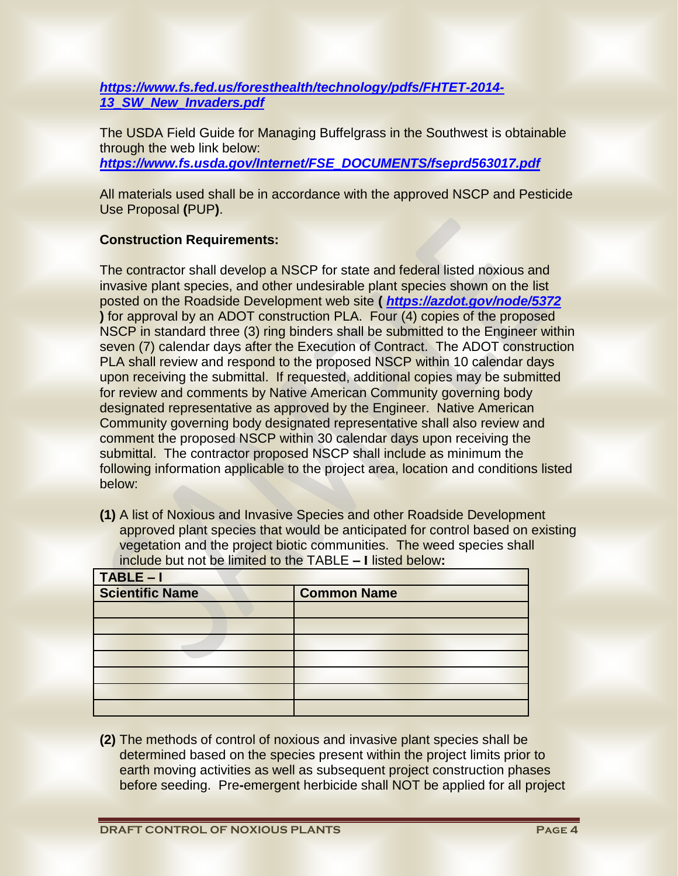*[https://www.fs.fed.us/foresthealth/technology/pdfs/FHTET-2014-](https://www.fs.fed.us/foresthealth/technology/pdfs/FHTET-2014-13_SW_New_Invaders.pdf) [13\\_SW\\_New\\_Invaders.pdf](https://www.fs.fed.us/foresthealth/technology/pdfs/FHTET-2014-13_SW_New_Invaders.pdf)*

The USDA Field Guide for Managing Buffelgrass in the Southwest is obtainable through the web link below: *[https://www.fs.usda.gov/Internet/FSE\\_DOCUMENTS/fseprd563017.pdf](https://www.fs.usda.gov/Internet/FSE_DOCUMENTS/fseprd563017.pdf)*

All materials used shall be in accordance with the approved NSCP and Pesticide Use Proposal **(**PUP**)**.

# **Construction Requirements:**

The contractor shall develop a NSCP for state and federal listed noxious and invasive plant species, and other undesirable plant species shown on the list posted on the Roadside Development web site **(** *<https://azdot.gov/node/5372>* **)** for approval by an ADOT construction PLA. Four (4) copies of the proposed NSCP in standard three (3) ring binders shall be submitted to the Engineer within seven (7) calendar days after the Execution of Contract. The ADOT construction PLA shall review and respond to the proposed NSCP within 10 calendar days upon receiving the submittal. If requested, additional copies may be submitted for review and comments by Native American Community governing body designated representative as approved by the Engineer. Native American Community governing body designated representative shall also review and comment the proposed NSCP within 30 calendar days upon receiving the submittal. The contractor proposed NSCP shall include as minimum the following information applicable to the project area, location and conditions listed below:

**(1)** A list of Noxious and Invasive Species and other Roadside Development approved plant species that would be anticipated for control based on existing vegetation and the project biotic communities. The weed species shall include but not be limited to the TABLE **– I** listed below**:**

| TABLE-I                |                    |
|------------------------|--------------------|
| <b>Scientific Name</b> | <b>Common Name</b> |
|                        |                    |
|                        |                    |
|                        |                    |
|                        |                    |
|                        |                    |
|                        |                    |
|                        |                    |

**(2)** The methods of control of noxious and invasive plant species shall be determined based on the species present within the project limits prior to earth moving activities as well as subsequent project construction phases before seeding. Pre**-**emergent herbicide shall NOT be applied for all project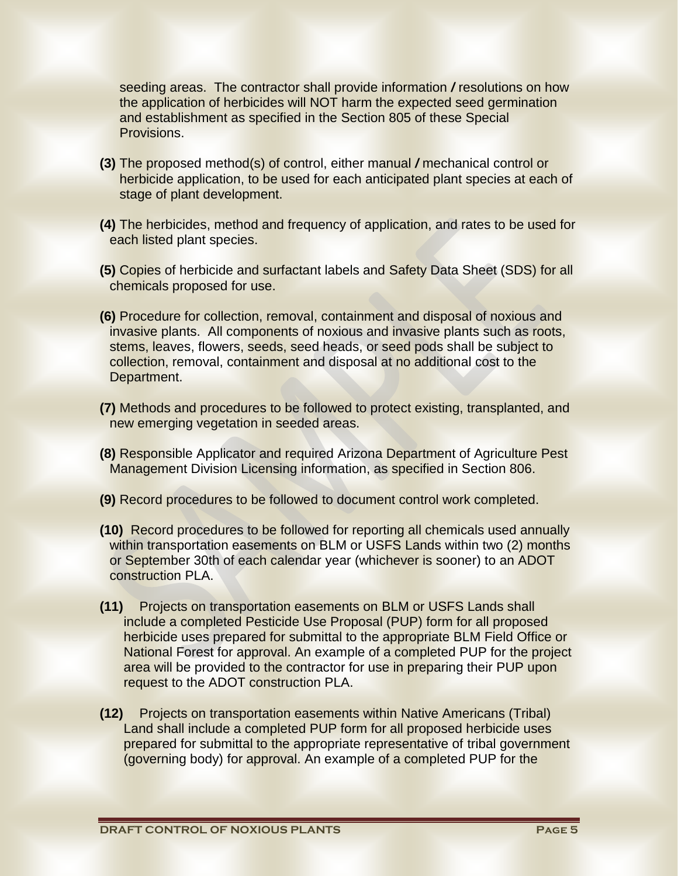seeding areas. The contractor shall provide information */* resolutions on how the application of herbicides will NOT harm the expected seed germination and establishment as specified in the Section 805 of these Special Provisions.

- **(3)** The proposed method(s) of control, either manual */* mechanical control or herbicide application, to be used for each anticipated plant species at each of stage of plant development.
- **(4)** The herbicides, method and frequency of application, and rates to be used for each listed plant species.
- **(5)** Copies of herbicide and surfactant labels and Safety Data Sheet (SDS) for all chemicals proposed for use.
- **(6)** Procedure for collection, removal, containment and disposal of noxious and invasive plants. All components of noxious and invasive plants such as roots, stems, leaves, flowers, seeds, seed heads, or seed pods shall be subject to collection, removal, containment and disposal at no additional cost to the Department.
- **(7)** Methods and procedures to be followed to protect existing, transplanted, and new emerging vegetation in seeded areas.
- **(8)** Responsible Applicator and required Arizona Department of Agriculture Pest Management Division Licensing information, as specified in Section 806.
- **(9)** Record procedures to be followed to document control work completed.
- **(10)** Record procedures to be followed for reporting all chemicals used annually within transportation easements on BLM or USFS Lands within two (2) months or September 30th of each calendar year (whichever is sooner) to an ADOT construction PLA.
- **(11)** Projects on transportation easements on BLM or USFS Lands shall include a completed Pesticide Use Proposal (PUP) form for all proposed herbicide uses prepared for submittal to the appropriate BLM Field Office or National Forest for approval. An example of a completed PUP for the project area will be provided to the contractor for use in preparing their PUP upon request to the ADOT construction PLA.
- **(12)** Projects on transportation easements within Native Americans (Tribal) Land shall include a completed PUP form for all proposed herbicide uses prepared for submittal to the appropriate representative of tribal government (governing body) for approval. An example of a completed PUP for the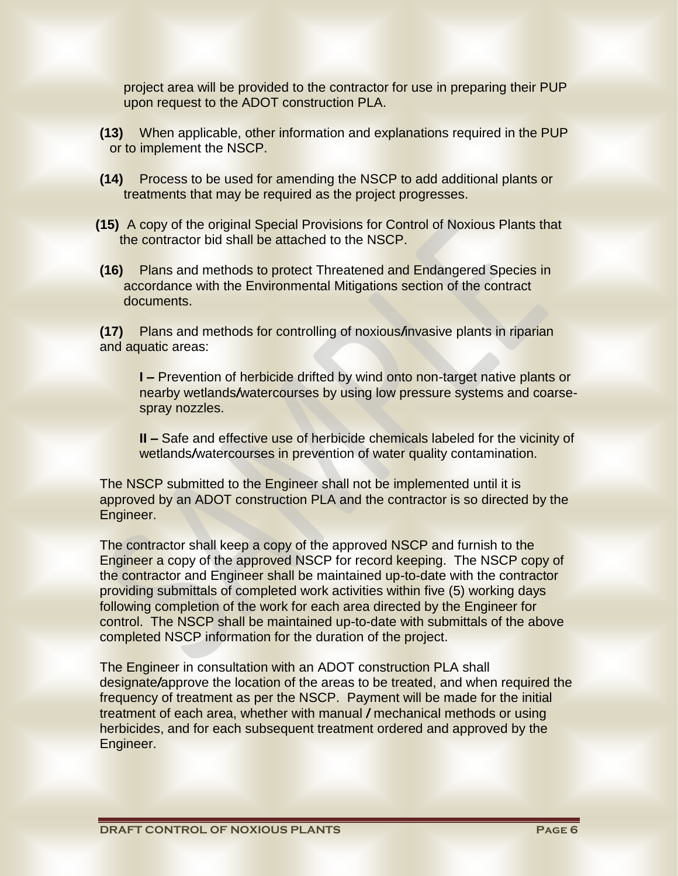project area will be provided to the contractor for use in preparing their PUP upon request to the ADOT construction PLA.

- **(13)** When applicable, other information and explanations required in the PUP or to implement the NSCP.
- **(14)** Process to be used for amending the NSCP to add additional plants or treatments that may be required as the project progresses.
- **(15)** A copy of the original Special Provisions for Control of Noxious Plants that the contractor bid shall be attached to the NSCP.
- **(16)** Plans and methods to protect Threatened and Endangered Species in accordance with the Environmental Mitigations section of the contract documents.

**(17)** Plans and methods for controlling of noxious*/*invasive plants in riparian and aquatic areas:

**I** – Prevention of herbicide drifted by wind onto non-target native plants or nearby wetlands*/*watercourses by using low pressure systems and coarsespray nozzles.

**II –** Safe and effective use of herbicide chemicals labeled for the vicinity of wetlands/watercourses in prevention of water quality contamination.

The NSCP submitted to the Engineer shall not be implemented until it is approved by an ADOT construction PLA and the contractor is so directed by the Engineer.

The contractor shall keep a copy of the approved NSCP and furnish to the Engineer a copy of the approved NSCP for record keeping. The NSCP copy of the contractor and Engineer shall be maintained up-to-date with the contractor providing submittals of completed work activities within five (5) working days following completion of the work for each area directed by the Engineer for control. The NSCP shall be maintained up-to-date with submittals of the above completed NSCP information for the duration of the project.

The Engineer in consultation with an ADOT construction PLA shall designate*/*approve the location of the areas to be treated, and when required the frequency of treatment as per the NSCP. Payment will be made for the initial treatment of each area, whether with manual */* mechanical methods or using herbicides, and for each subsequent treatment ordered and approved by the Engineer.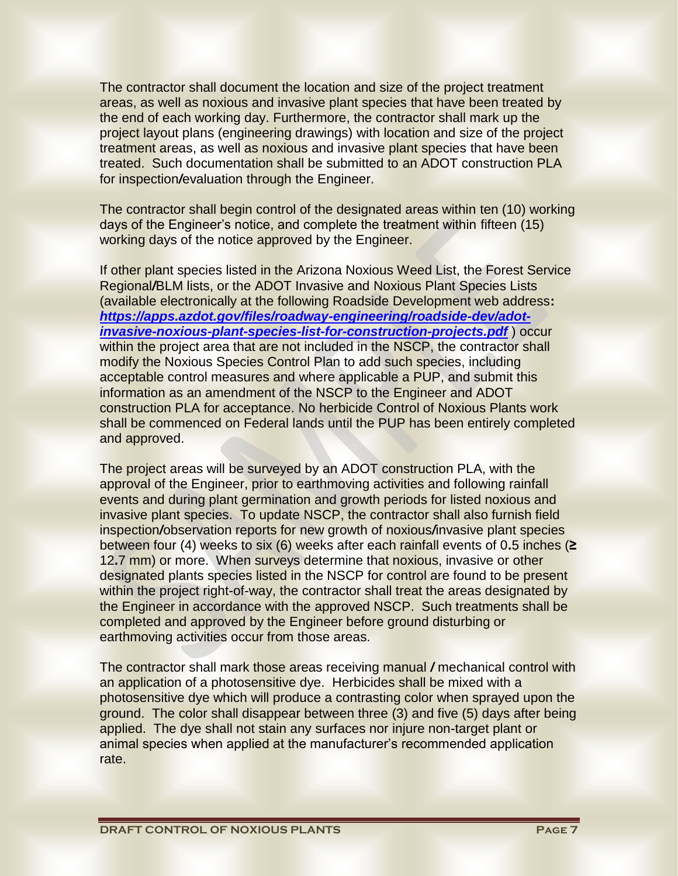The contractor shall document the location and size of the project treatment areas, as well as noxious and invasive plant species that have been treated by the end of each working day. Furthermore, the contractor shall mark up the project layout plans (engineering drawings) with location and size of the project treatment areas, as well as noxious and invasive plant species that have been treated. Such documentation shall be submitted to an ADOT construction PLA for inspection*/*evaluation through the Engineer.

The contractor shall begin control of the designated areas within ten (10) working days of the Engineer's notice, and complete the treatment within fifteen (15) working days of the notice approved by the Engineer.

If other plant species listed in the Arizona Noxious Weed List, the Forest Service Regional*/*BLM lists, or the ADOT Invasive and Noxious Plant Species Lists (available electronically at the following Roadside Development web address**:** *[https://apps.azdot.gov/files/roadway-engineering/roadside-dev/adot](https://apps.azdot.gov/files/roadway-engineering/roadside-dev/adot-invasive-noxious-plant-species-list-for-construction-projects.pdf)[invasive-noxious-plant-species-list-for-construction-projects.pdf](https://apps.azdot.gov/files/roadway-engineering/roadside-dev/adot-invasive-noxious-plant-species-list-for-construction-projects.pdf)* ) occur within the project area that are not included in the NSCP, the contractor shall modify the Noxious Species Control Plan to add such species, including acceptable control measures and where applicable a PUP, and submit this information as an amendment of the NSCP to the Engineer and ADOT construction PLA for acceptance. No herbicide Control of Noxious Plants work shall be commenced on Federal lands until the PUP has been entirely completed and approved.

The project areas will be surveyed by an ADOT construction PLA, with the approval of the Engineer, prior to earthmoving activities and following rainfall events and during plant germination and growth periods for listed noxious and invasive plant species. To update NSCP, the contractor shall also furnish field inspection*/*observation reports for new growth of noxious*/*invasive plant species between four (4) weeks to six (6) weeks after each rainfall events of 0**.**5 inches (**≥** 12**.**7 mm) or more. When surveys determine that noxious, invasive or other designated plants species listed in the NSCP for control are found to be present within the project right-of-way, the contractor shall treat the areas designated by the Engineer in accordance with the approved NSCP. Such treatments shall be completed and approved by the Engineer before ground disturbing or earthmoving activities occur from those areas.

The contractor shall mark those areas receiving manual */* mechanical control with an application of a photosensitive dye. Herbicides shall be mixed with a photosensitive dye which will produce a contrasting color when sprayed upon the ground. The color shall disappear between three (3) and five (5) days after being applied. The dye shall not stain any surfaces nor injure non-target plant or animal species when applied at the manufacturer's recommended application rate.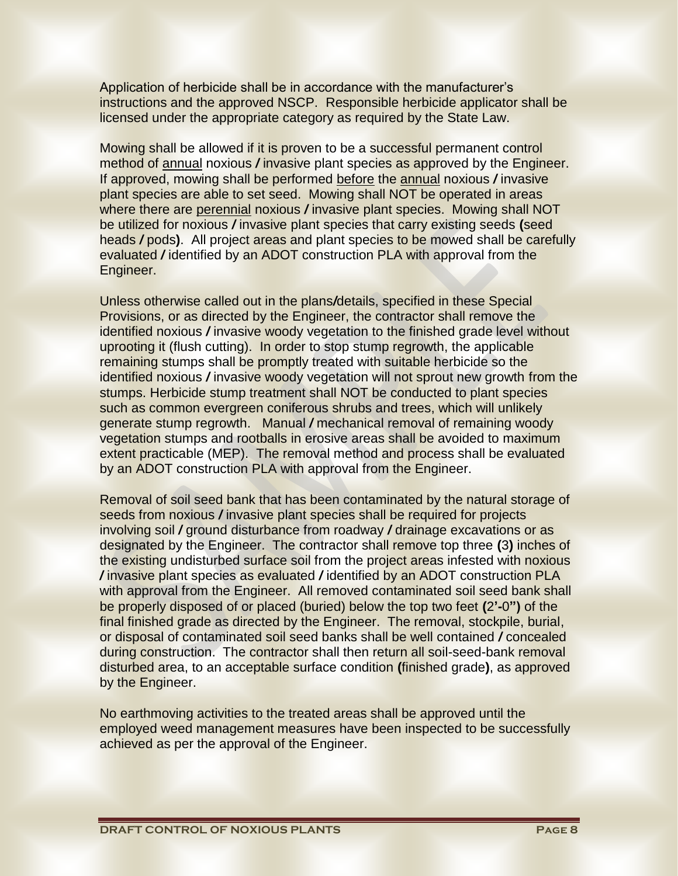Application of herbicide shall be in accordance with the manufacturer's instructions and the approved NSCP. Responsible herbicide applicator shall be licensed under the appropriate category as required by the State Law.

Mowing shall be allowed if it is proven to be a successful permanent control method of annual noxious */* invasive plant species as approved by the Engineer. If approved, mowing shall be performed before the annual noxious */* invasive plant species are able to set seed. Mowing shall NOT be operated in areas where there are perennial noxious */* invasive plant species. Mowing shall NOT be utilized for noxious */* invasive plant species that carry existing seeds **(**seed heads */* pods**)**. All project areas and plant species to be mowed shall be carefully evaluated */* identified by an ADOT construction PLA with approval from the Engineer.

Unless otherwise called out in the plans*/*details, specified in these Special Provisions, or as directed by the Engineer, the contractor shall remove the identified noxious */* invasive woody vegetation to the finished grade level without uprooting it (flush cutting). In order to stop stump regrowth, the applicable remaining stumps shall be promptly treated with suitable herbicide so the identified noxious */* invasive woody vegetation will not sprout new growth from the stumps. Herbicide stump treatment shall NOT be conducted to plant species such as common evergreen coniferous shrubs and trees, which will unlikely generate stump regrowth. Manual */* mechanical removal of remaining woody vegetation stumps and rootballs in erosive areas shall be avoided to maximum extent practicable (MEP). The removal method and process shall be evaluated by an ADOT construction PLA with approval from the Engineer.

Removal of soil seed bank that has been contaminated by the natural storage of seeds from noxious */* invasive plant species shall be required for projects involving soil */* ground disturbance from roadway */* drainage excavations or as designated by the Engineer. The contractor shall remove top three **(**3**)** inches of the existing undisturbed surface soil from the project areas infested with noxious */* invasive plant species as evaluated */* identified by an ADOT construction PLA with approval from the Engineer. All removed contaminated soil seed bank shall be properly disposed of or placed (buried) below the top two feet **(**2**'-**0**")** of the final finished grade as directed by the Engineer. The removal, stockpile, burial, or disposal of contaminated soil seed banks shall be well contained */* concealed during construction. The contractor shall then return all soil-seed-bank removal disturbed area, to an acceptable surface condition **(**finished grade**)**, as approved by the Engineer.

No earthmoving activities to the treated areas shall be approved until the employed weed management measures have been inspected to be successfully achieved as per the approval of the Engineer.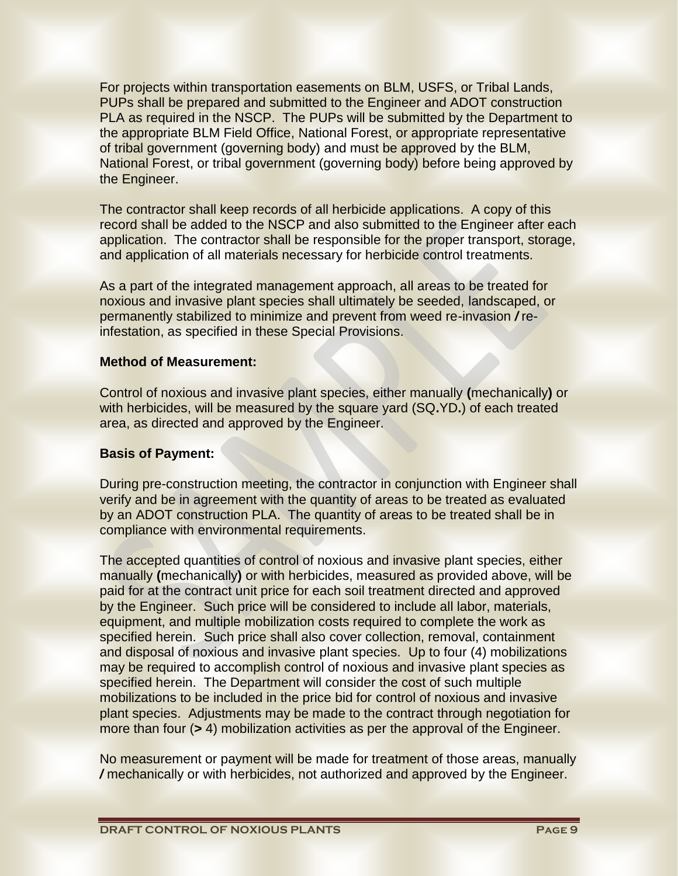For projects within transportation easements on BLM, USFS, or Tribal Lands, PUPs shall be prepared and submitted to the Engineer and ADOT construction PLA as required in the NSCP. The PUPs will be submitted by the Department to the appropriate BLM Field Office, National Forest, or appropriate representative of tribal government (governing body) and must be approved by the BLM, National Forest, or tribal government (governing body) before being approved by the Engineer.

The contractor shall keep records of all herbicide applications. A copy of this record shall be added to the NSCP and also submitted to the Engineer after each application. The contractor shall be responsible for the proper transport, storage, and application of all materials necessary for herbicide control treatments.

As a part of the integrated management approach, all areas to be treated for noxious and invasive plant species shall ultimately be seeded, landscaped, or permanently stabilized to minimize and prevent from weed re-invasion */* reinfestation, as specified in these Special Provisions.

## **Method of Measurement:**

Control of noxious and invasive plant species, either manually **(**mechanically**)** or with herbicides, will be measured by the square yard (SQ**.**YD**.**) of each treated area, as directed and approved by the Engineer.

# **Basis of Payment:**

During pre-construction meeting, the contractor in conjunction with Engineer shall verify and be in agreement with the quantity of areas to be treated as evaluated by an ADOT construction PLA. The quantity of areas to be treated shall be in compliance with environmental requirements.

The accepted quantities of control of noxious and invasive plant species, either manually **(**mechanically**)** or with herbicides, measured as provided above, will be paid for at the contract unit price for each soil treatment directed and approved by the Engineer. Such price will be considered to include all labor, materials, equipment, and multiple mobilization costs required to complete the work as specified herein. Such price shall also cover collection, removal, containment and disposal of noxious and invasive plant species. Up to four (4) mobilizations may be required to accomplish control of noxious and invasive plant species as specified herein. The Department will consider the cost of such multiple mobilizations to be included in the price bid for control of noxious and invasive plant species. Adjustments may be made to the contract through negotiation for more than four (**>** 4) mobilization activities as per the approval of the Engineer.

No measurement or payment will be made for treatment of those areas, manually */* mechanically or with herbicides, not authorized and approved by the Engineer.